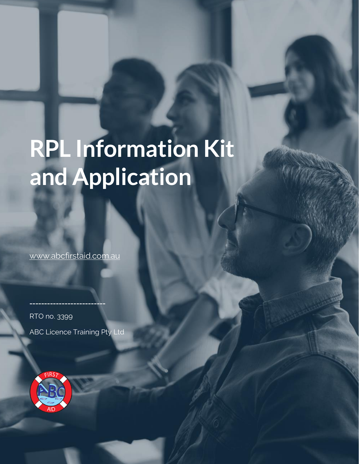# **RPL Information Kit and Application**

ABC First Aid RTO no 3399

[www.abcfirstaid.com.au](http://www.abcfirstaid.com.au/)

RPL Information Kit and Application

RTO no. 3399 ABC Licence Training Pty Ltd

**\_\_\_\_\_\_\_\_\_\_\_\_\_\_\_\_\_\_\_\_\_\_\_\_\_\_**

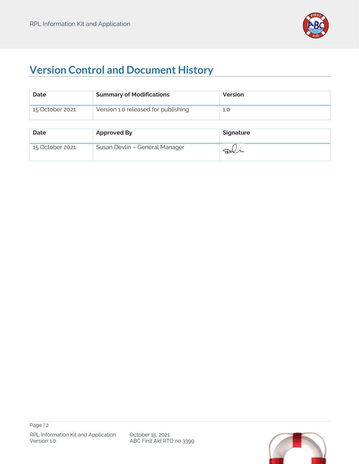

# **Version Control and Document History**

| <b>Date</b>     | <b>Summary of Modifications</b>     | Version   |
|-----------------|-------------------------------------|-----------|
| 15 October 2021 | Version 1.0 released for publishing | 1.0       |
|                 |                                     |           |
| <b>Date</b>     | <b>Approved By</b>                  | Signature |
| 15 October 2021 | Susan Devlin - General Manager      |           |

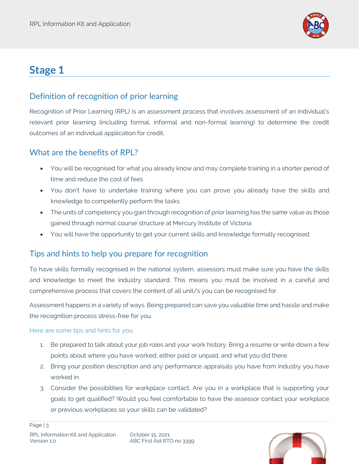

# **Stage 1**

# Definition of recognition of prior learning

Recognition of Prior Learning (RPL) is an assessment process that involves assessment of an individual's relevant prior learning (including formal, informal and non-formal learning) to determine the credit outcomes of an individual application for credit.

# What are the benefits of RPL?

- You will be recognised for what you already know and may complete training in a shorter period of time and reduce the cost of fees
- You don't have to undertake training where you can prove you already have the skills and knowledge to competently perform the tasks
- The units of competency you gain through recognition of prior learning has the same value as those gained through normal course structure at Mercury Institute of Victoria
- You will have the opportunity to get your current skills and knowledge formally recognised.

# Tips and hints to help you prepare for recognition

To have skills formally recognised in the national system, assessors must make sure you have the skills and knowledge to meet the industry standard. This means you must be involved in a careful and comprehensive process that covers the content of all unit/s you can be recognised for.

Assessment happens in a variety of ways. Being prepared can save you valuable time and hassle and make the recognition process stress-free for you.

#### Here are some tips and hints for you:

- 1. Be prepared to talk about your job roles and your work history. Bring a resume or write down a few points about where you have worked, either paid or unpaid, and what you did there.
- 2. Bring your position description and any performance appraisals you have from industry you have worked in.
- 3. Consider the possibilities for workplace contact. Are you in a workplace that is supporting your goals to get qualified? Would you feel comfortable to have the assessor contact your workplace or previous workplaces so your skills can be validated?

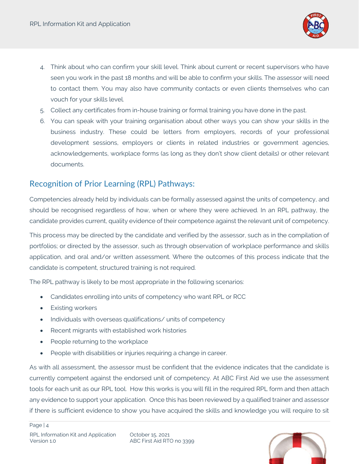

- 4. Think about who can confirm your skill level. Think about current or recent supervisors who have seen you work in the past 18 months and will be able to confirm your skills. The assessor will need to contact them. You may also have community contacts or even clients themselves who can vouch for your skills level.
- 5. Collect any certificates from in-house training or formal training you have done in the past.
- 6. You can speak with your training organisation about other ways you can show your skills in the business industry. These could be letters from employers, records of your professional development sessions, employers or clients in related industries or government agencies, acknowledgements, workplace forms (as long as they don't show client details) or other relevant documents.

## Recognition of Prior Learning (RPL) Pathways:

Competencies already held by individuals can be formally assessed against the units of competency, and should be recognised regardless of how, when or where they were achieved. In an RPL pathway, the candidate provides current, quality evidence of their competence against the relevant unit of competency.

This process may be directed by the candidate and verified by the assessor, such as in the compilation of portfolios; or directed by the assessor, such as through observation of workplace performance and skills application, and oral and/or written assessment. Where the outcomes of this process indicate that the candidate is competent, structured training is not required.

The RPL pathway is likely to be most appropriate in the following scenarios:

- Candidates enrolling into units of competency who want RPL or RCC
- Existing workers
- Individuals with overseas qualifications/ units of competency
- Recent migrants with established work histories
- People returning to the workplace
- People with disabilities or injuries requiring a change in career.

As with all assessment, the assessor must be confident that the evidence indicates that the candidate is currently competent against the endorsed unit of competency. At ABC First Aid we use the assessment tools for each unit as our RPL tool. How this works is you will fill in the required RPL form and then attach any evidence to support your application. Once this has been reviewed by a qualified trainer and assessor if there is sufficient evidence to show you have acquired the skills and knowledge you will require to sit

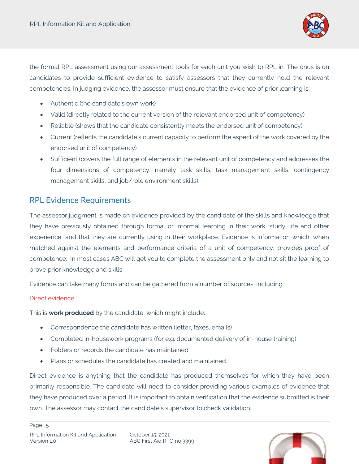

the formal RPL assessment using our assessment tools for each unit you wish to RPL in. The onus is on candidates to provide sufficient evidence to satisfy assessors that they currently hold the relevant competencies. In judging evidence, the assessor must ensure that the evidence of prior learning is:

- Authentic (the candidate's own work)
- Valid (directly related to the current version of the relevant endorsed unit of competency)
- Reliable (shows that the candidate consistently meets the endorsed unit of competency)
- Current (reflects the candidate's current capacity to perform the aspect of the work covered by the endorsed unit of competency)
- Sufficient (covers the full range of elements in the relevant unit of competency and addresses the four dimensions of competency, namely task skills, task management skills, contingency management skills, and job/role environment skills).

### RPL Evidence Requirements

The assessor judgment is made on evidence provided by the candidate of the skills and knowledge that they have previously obtained through formal or informal learning in their work, study, life and other experience, and that they are currently using in their workplace. Evidence is information which, when matched against the elements and performance criteria of a unit of competency, provides proof of competence. In most cases ABC will get you to complete the assessment only and not sit the learning to prove prior knowledge and skills

Evidence can take many forms and can be gathered from a number of sources, including:

#### Direct evidence

This is **work produced** by the candidate, which might include:

- Correspondence the candidate has written (letter, faxes, emails)
- Completed in-housework programs (for e.g. documented delivery of in-house training)
- Folders or records the candidate has maintained
- Plans or schedules the candidate has created and maintained.

Direct evidence is anything that the candidate has produced themselves for which they have been primarily responsible. The candidate will need to consider providing various examples of evidence that they have produced over a period. It is important to obtain verification that the evidence submitted is their own. The assessor may contact the candidate's supervisor to check validation.

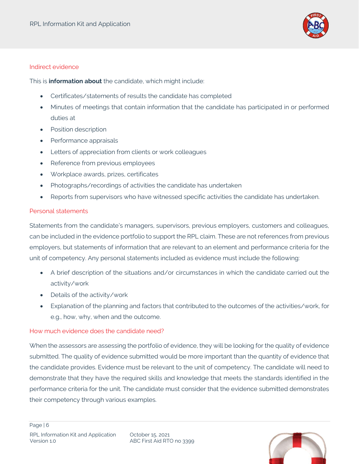

#### Indirect evidence

This is **information about** the candidate, which might include:

- Certificates/statements of results the candidate has completed
- Minutes of meetings that contain information that the candidate has participated in or performed duties at
- Position description
- Performance appraisals
- Letters of appreciation from clients or work colleagues
- Reference from previous employees
- Workplace awards, prizes, certificates
- Photographs/recordings of activities the candidate has undertaken
- Reports from supervisors who have witnessed specific activities the candidate has undertaken.

#### Personal statements

Statements from the candidate's managers, supervisors, previous employers, customers and colleagues, can be included in the evidence portfolio to support the RPL claim. These are not references from previous employers, but statements of information that are relevant to an element and performance criteria for the unit of competency. Any personal statements included as evidence must include the following:

- A brief description of the situations and/or circumstances in which the candidate carried out the activity/work
- Details of the activity/work
- Explanation of the planning and factors that contributed to the outcomes of the activities/work, for e.g., how, why, when and the outcome.

#### How much evidence does the candidate need?

When the assessors are assessing the portfolio of evidence, they will be looking for the quality of evidence submitted. The quality of evidence submitted would be more important than the quantity of evidence that the candidate provides. Evidence must be relevant to the unit of competency. The candidate will need to demonstrate that they have the required skills and knowledge that meets the standards identified in the performance criteria for the unit. The candidate must consider that the evidence submitted demonstrates their competency through various examples.

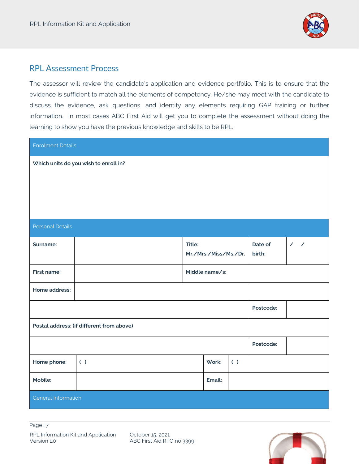

## RPL Assessment Process

The assessor will review the candidate's application and evidence portfolio. This is to ensure that the evidence is sufficient to match all the elements of competency. He/she may meet with the candidate to discuss the evidence, ask questions, and identify any elements requiring GAP training or further information. In most cases ABC First Aid will get you to complete the assessment without doing the learning to show you have the previous knowledge and skills to be RPL.

| <b>Enrolment Details</b>                  |     |                                 |        |     |                   |    |  |
|-------------------------------------------|-----|---------------------------------|--------|-----|-------------------|----|--|
| Which units do you wish to enroll in?     |     |                                 |        |     |                   |    |  |
| <b>Personal Details</b>                   |     |                                 |        |     |                   |    |  |
| Surname:                                  |     | Title:<br>Mr./Mrs./Miss/Ms./Dr. |        |     | Date of<br>birth: | 11 |  |
| First name:                               |     | Middle name/s:                  |        |     |                   |    |  |
| Home address:                             |     |                                 |        |     |                   |    |  |
|                                           |     |                                 |        |     | Postcode:         |    |  |
| Postal address: (if different from above) |     |                                 |        |     |                   |    |  |
|                                           |     |                                 |        |     | Postcode:         |    |  |
| Home phone:                               | ( ) |                                 | Work:  | ( ) |                   |    |  |
| Mobile:                                   |     |                                 | Email: |     |                   |    |  |
| General Information                       |     |                                 |        |     |                   |    |  |

October 15, 2021 ABC First Aid RTO no 3399

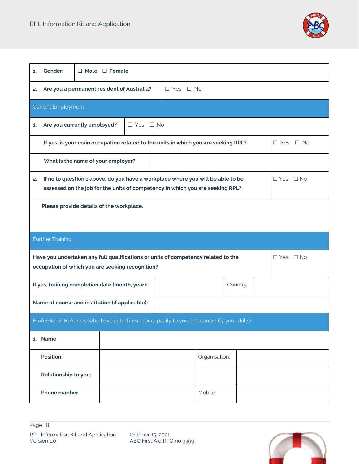

| Gender:<br>1.                                                                                                                                                                                  | $\Box$ Male $\Box$ Female                                                                                  |               |  |  |  |  |  |
|------------------------------------------------------------------------------------------------------------------------------------------------------------------------------------------------|------------------------------------------------------------------------------------------------------------|---------------|--|--|--|--|--|
| Are you a permanent resident of Australia?<br>$\Box$ Yes $\Box$ No<br>2.                                                                                                                       |                                                                                                            |               |  |  |  |  |  |
| <b>Current Employment</b>                                                                                                                                                                      |                                                                                                            |               |  |  |  |  |  |
| Are you currently employed?<br>$\Box$ Yes $\Box$ No<br>1.                                                                                                                                      |                                                                                                            |               |  |  |  |  |  |
|                                                                                                                                                                                                | If yes, is your main occupation related to the units in which you are seeking RPL?<br>$\Box$ Yes $\Box$ No |               |  |  |  |  |  |
| What is the name of your employer?                                                                                                                                                             |                                                                                                            |               |  |  |  |  |  |
| If no to question 1 above, do you have a workplace where you will be able to be<br>$\Box$ Yes $\Box$ No<br>2.<br>assessed on the job for the units of competency in which you are seeking RPL? |                                                                                                            |               |  |  |  |  |  |
| Please provide details of the workplace.                                                                                                                                                       |                                                                                                            |               |  |  |  |  |  |
| <b>Further Training</b>                                                                                                                                                                        |                                                                                                            |               |  |  |  |  |  |
| Have you undertaken any full qualifications or units of competency related to the<br>$\Box$ Yes $\Box$ No<br>occupation of which you are seeking recognition?                                  |                                                                                                            |               |  |  |  |  |  |
| If yes, training completion date (month, year):<br>Country:                                                                                                                                    |                                                                                                            |               |  |  |  |  |  |
| Name of course and institution (if applicable):                                                                                                                                                |                                                                                                            |               |  |  |  |  |  |
| Professional Referees (who have acted in senior capacity to you and can verify your skills)                                                                                                    |                                                                                                            |               |  |  |  |  |  |
| 1. Name                                                                                                                                                                                        |                                                                                                            |               |  |  |  |  |  |
| Position:                                                                                                                                                                                      |                                                                                                            | Organisation: |  |  |  |  |  |
| Relationship to you:                                                                                                                                                                           |                                                                                                            |               |  |  |  |  |  |
| Phone number:                                                                                                                                                                                  |                                                                                                            | Mobile:       |  |  |  |  |  |

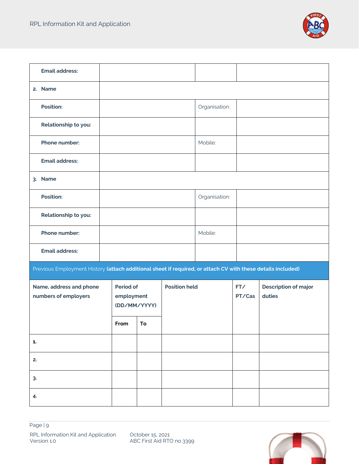

| <b>Email address:</b>                                                                                       |                                         |    |                      |               |               |                                       |  |
|-------------------------------------------------------------------------------------------------------------|-----------------------------------------|----|----------------------|---------------|---------------|---------------------------------------|--|
| 2. Name                                                                                                     |                                         |    |                      |               |               |                                       |  |
| <b>Position:</b>                                                                                            |                                         |    |                      | Organisation: |               |                                       |  |
| Relationship to you:                                                                                        |                                         |    |                      |               |               |                                       |  |
| Phone number:                                                                                               |                                         |    |                      | Mobile:       |               |                                       |  |
| <b>Email address:</b>                                                                                       |                                         |    |                      |               |               |                                       |  |
| 3. Name                                                                                                     |                                         |    |                      |               |               |                                       |  |
| <b>Position:</b>                                                                                            |                                         |    |                      | Organisation: |               |                                       |  |
| Relationship to you:                                                                                        |                                         |    |                      |               |               |                                       |  |
| Phone number:                                                                                               |                                         |    |                      | Mobile:       |               |                                       |  |
| <b>Email address:</b>                                                                                       |                                         |    |                      |               |               |                                       |  |
| Previous Employment History (attach additional sheet if required, or attach CV with these details included) |                                         |    |                      |               |               |                                       |  |
| Name, address and phone<br>numbers of employers                                                             | Period of<br>employment<br>(DD/MM/YYYY) |    | <b>Position held</b> |               | FT/<br>PT/Cas | <b>Description of major</b><br>duties |  |
|                                                                                                             | From                                    | To |                      |               |               |                                       |  |
| 1.                                                                                                          |                                         |    |                      |               |               |                                       |  |
| 2.                                                                                                          |                                         |    |                      |               |               |                                       |  |
| 3.                                                                                                          |                                         |    |                      |               |               |                                       |  |
| 4.                                                                                                          |                                         |    |                      |               |               |                                       |  |

October 15, 2021 ABC First Aid RTO no 3399